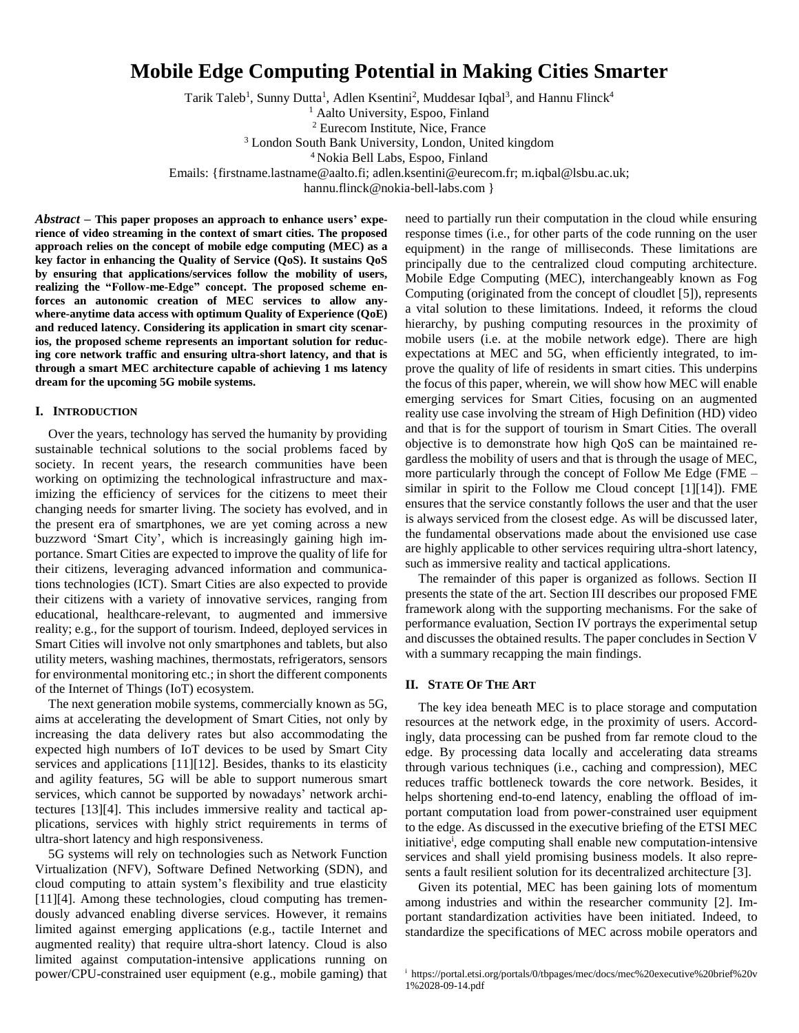# **Mobile Edge Computing Potential in Making Cities Smarter**

Tarik Taleb<sup>1</sup>, Sunny Dutta<sup>1</sup>, Adlen Ksentini<sup>2</sup>, Muddesar Iqbal<sup>3</sup>, and Hannu Flinck<sup>4</sup>

<sup>1</sup> Aalto University, Espoo, Finland

<sup>2</sup> Eurecom Institute, Nice, France

<sup>3</sup> London South Bank University, London, United kingdom

<sup>4</sup> Nokia Bell Labs, Espoo, Finland

Emails: {firstname.lastname@aalto.fi; adlen.ksentini@eurecom.fr; m.iqbal@lsbu.ac.uk;

hannu.flinck@nokia-bell-labs.com }

*Abstract* **– This paper proposes an approach to enhance users' experience of video streaming in the context of smart cities. The proposed approach relies on the concept of mobile edge computing (MEC) as a key factor in enhancing the Quality of Service (QoS). It sustains QoS by ensuring that applications/services follow the mobility of users, realizing the "Follow-me-Edge" concept. The proposed scheme enforces an autonomic creation of MEC services to allow anywhere-anytime data access with optimum Quality of Experience (QoE) and reduced latency. Considering its application in smart city scenarios, the proposed scheme represents an important solution for reducing core network traffic and ensuring ultra-short latency, and that is through a smart MEC architecture capable of achieving 1 ms latency dream for the upcoming 5G mobile systems.** 

## **I. INTRODUCTION**

Over the years, technology has served the humanity by providing sustainable technical solutions to the social problems faced by society. In recent years, the research communities have been working on optimizing the technological infrastructure and maximizing the efficiency of services for the citizens to meet their changing needs for smarter living. The society has evolved, and in the present era of smartphones, we are yet coming across a new buzzword 'Smart City', which is increasingly gaining high importance. Smart Cities are expected to improve the quality of life for their citizens, leveraging advanced information and communications technologies (ICT). Smart Cities are also expected to provide their citizens with a variety of innovative services, ranging from educational, healthcare-relevant, to augmented and immersive reality; e.g., for the support of tourism. Indeed, deployed services in Smart Cities will involve not only smartphones and tablets, but also utility meters, washing machines, thermostats, refrigerators, sensors for environmental monitoring etc.; in short the different components of the Internet of Things (IoT) ecosystem.

The next generation mobile systems, commercially known as 5G, aims at accelerating the development of Smart Cities, not only by increasing the data delivery rates but also accommodating the expected high numbers of IoT devices to be used by Smart City services and applications [11][12]. Besides, thanks to its elasticity and agility features, 5G will be able to support numerous smart services, which cannot be supported by nowadays' network architectures [13][4]. This includes immersive reality and tactical applications, services with highly strict requirements in terms of ultra-short latency and high responsiveness.

5G systems will rely on technologies such as Network Function Virtualization (NFV), Software Defined Networking (SDN), and cloud computing to attain system's flexibility and true elasticity [11][4]. Among these technologies, cloud computing has tremendously advanced enabling diverse services. However, it remains limited against emerging applications (e.g., tactile Internet and augmented reality) that require ultra-short latency. Cloud is also limited against computation-intensive applications running on power/CPU-constrained user equipment (e.g., mobile gaming) that need to partially run their computation in the cloud while ensuring response times (i.e., for other parts of the code running on the user equipment) in the range of milliseconds. These limitations are principally due to the centralized cloud computing architecture. Mobile Edge Computing (MEC), interchangeably known as Fog Computing (originated from the concept of cloudlet [5]), represents a vital solution to these limitations. Indeed, it reforms the cloud hierarchy, by pushing computing resources in the proximity of mobile users (i.e. at the mobile network edge). There are high expectations at MEC and 5G, when efficiently integrated, to improve the quality of life of residents in smart cities. This underpins the focus of this paper, wherein, we will show how MEC will enable emerging services for Smart Cities, focusing on an augmented reality use case involving the stream of High Definition (HD) video and that is for the support of tourism in Smart Cities. The overall objective is to demonstrate how high QoS can be maintained regardless the mobility of users and that is through the usage of MEC, more particularly through the concept of Follow Me Edge (FME – similar in spirit to the Follow me Cloud concept [1][14]). FME ensures that the service constantly follows the user and that the user is always serviced from the closest edge. As will be discussed later, the fundamental observations made about the envisioned use case are highly applicable to other services requiring ultra-short latency, such as immersive reality and tactical applications.

The remainder of this paper is organized as follows. Section II presents the state of the art. Section III describes our proposed FME framework along with the supporting mechanisms. For the sake of performance evaluation, Section IV portrays the experimental setup and discusses the obtained results. The paper concludes in Section V with a summary recapping the main findings.

# **II. STATE OF THE ART**

The key idea beneath MEC is to place storage and computation resources at the network edge, in the proximity of users. Accordingly, data processing can be pushed from far remote cloud to the edge. By processing data locally and accelerating data streams through various techniques (i.e., caching and compression), MEC reduces traffic bottleneck towards the core network. Besides, it helps shortening end-to-end latency, enabling the offload of important computation load from power-constrained user equipment to the edge. As discussed in the executive briefing of the ETSI MEC initiative<sup>i</sup>, edge computing shall enable new computation-intensive services and shall yield promising business models. It also represents a fault resilient solution for its decentralized architecture [3].

Given its potential, MEC has been gaining lots of momentum among industries and within the researcher community [2]. Important standardization activities have been initiated. Indeed, to standardize the specifications of MEC across mobile operators and

<sup>&</sup>lt;sup>i</sup> https://portal.etsi.org/portals/0/tbpages/mec/docs/mec%20executive%20brief%20v 1%2028-09-14.pdf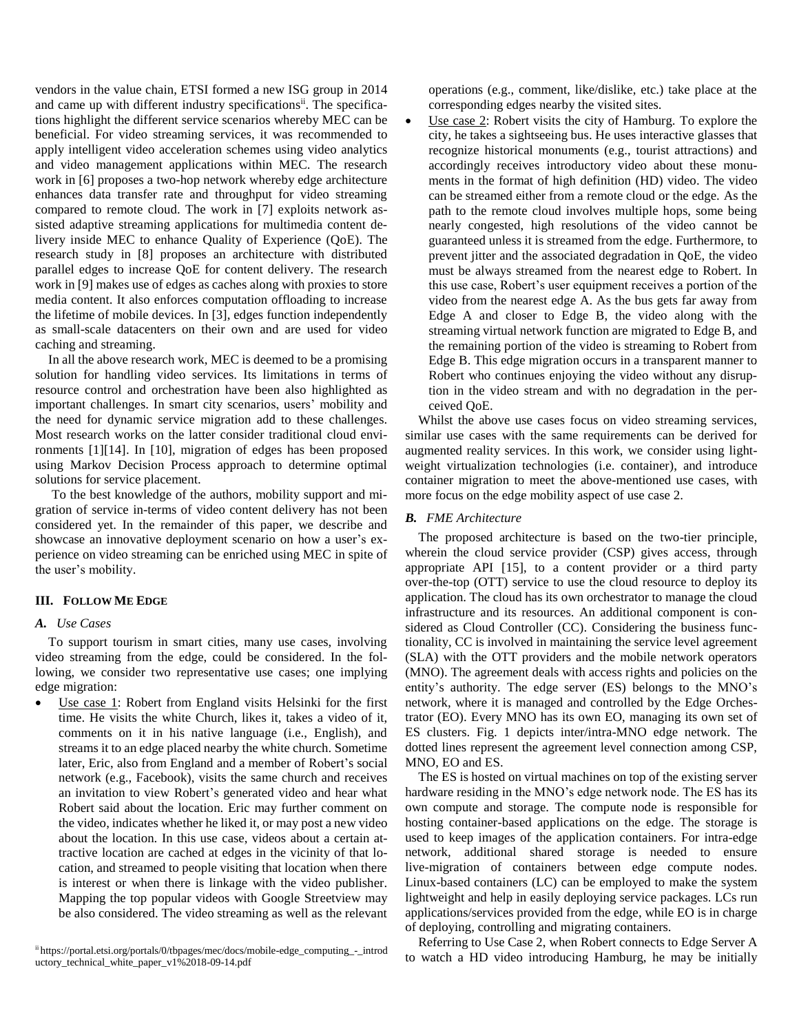vendors in the value chain, ETSI formed a new ISG group in 2014 and came up with different industry specifications<sup>ii</sup>. The specifications highlight the different service scenarios whereby MEC can be beneficial. For video streaming services, it was recommended to apply intelligent video acceleration schemes using video analytics and video management applications within MEC. The research work in [6] proposes a two-hop network whereby edge architecture enhances data transfer rate and throughput for video streaming compared to remote cloud. The work in [7] exploits network assisted adaptive streaming applications for multimedia content delivery inside MEC to enhance Quality of Experience (QoE). The research study in [8] proposes an architecture with distributed parallel edges to increase QoE for content delivery. The research work in [9] makes use of edges as caches along with proxies to store media content. It also enforces computation offloading to increase the lifetime of mobile devices. In [3], edges function independently as small-scale datacenters on their own and are used for video caching and streaming.

In all the above research work, MEC is deemed to be a promising solution for handling video services. Its limitations in terms of resource control and orchestration have been also highlighted as important challenges. In smart city scenarios, users' mobility and the need for dynamic service migration add to these challenges. Most research works on the latter consider traditional cloud environments [1][14]. In [10], migration of edges has been proposed using Markov Decision Process approach to determine optimal solutions for service placement.

To the best knowledge of the authors, mobility support and migration of service in-terms of video content delivery has not been considered yet. In the remainder of this paper, we describe and showcase an innovative deployment scenario on how a user's experience on video streaming can be enriched using MEC in spite of the user's mobility.

## **III. FOLLOW ME EDGE**

# *A. Use Cases*

To support tourism in smart cities, many use cases, involving video streaming from the edge, could be considered. In the following, we consider two representative use cases; one implying edge migration:

 Use case 1: Robert from England visits Helsinki for the first time. He visits the white Church, likes it, takes a video of it, comments on it in his native language (i.e., English), and streams it to an edge placed nearby the white church. Sometime later, Eric, also from England and a member of Robert's social network (e.g., Facebook), visits the same church and receives an invitation to view Robert's generated video and hear what Robert said about the location. Eric may further comment on the video, indicates whether he liked it, or may post a new video about the location. In this use case, videos about a certain attractive location are cached at edges in the vicinity of that location, and streamed to people visiting that location when there is interest or when there is linkage with the video publisher. Mapping the top popular videos with Google Streetview may be also considered. The video streaming as well as the relevant operations (e.g., comment, like/dislike, etc.) take place at the corresponding edges nearby the visited sites.

 Use case 2: Robert visits the city of Hamburg. To explore the city, he takes a sightseeing bus. He uses interactive glasses that recognize historical monuments (e.g., tourist attractions) and accordingly receives introductory video about these monuments in the format of high definition (HD) video. The video can be streamed either from a remote cloud or the edge. As the path to the remote cloud involves multiple hops, some being nearly congested, high resolutions of the video cannot be guaranteed unless it is streamed from the edge. Furthermore, to prevent jitter and the associated degradation in QoE, the video must be always streamed from the nearest edge to Robert. In this use case, Robert's user equipment receives a portion of the video from the nearest edge A. As the bus gets far away from Edge A and closer to Edge B, the video along with the streaming virtual network function are migrated to Edge B, and the remaining portion of the video is streaming to Robert from Edge B. This edge migration occurs in a transparent manner to Robert who continues enjoying the video without any disruption in the video stream and with no degradation in the perceived QoE.

Whilst the above use cases focus on video streaming services, similar use cases with the same requirements can be derived for augmented reality services. In this work, we consider using lightweight virtualization technologies (i.e. container), and introduce container migration to meet the above-mentioned use cases, with more focus on the edge mobility aspect of use case 2.

## *B. FME Architecture*

The proposed architecture is based on the two-tier principle, wherein the cloud service provider (CSP) gives access, through appropriate API [15], to a content provider or a third party over-the-top (OTT) service to use the cloud resource to deploy its application. The cloud has its own orchestrator to manage the cloud infrastructure and its resources. An additional component is considered as Cloud Controller (CC). Considering the business functionality, CC is involved in maintaining the service level agreement (SLA) with the OTT providers and the mobile network operators (MNO). The agreement deals with access rights and policies on the entity's authority. The edge server (ES) belongs to the MNO's network, where it is managed and controlled by the Edge Orchestrator (EO). Every MNO has its own EO, managing its own set of ES clusters. Fig. 1 depicts inter/intra-MNO edge network. The dotted lines represent the agreement level connection among CSP, MNO, EO and ES.

The ES is hosted on virtual machines on top of the existing server hardware residing in the MNO's edge network node. The ES has its own compute and storage. The compute node is responsible for hosting container-based applications on the edge. The storage is used to keep images of the application containers. For intra-edge network, additional shared storage is needed to ensure live-migration of containers between edge compute nodes. Linux-based containers (LC) can be employed to make the system lightweight and help in easily deploying service packages. LCs run applications/services provided from the edge, while EO is in charge of deploying, controlling and migrating containers.

Referring to Use Case 2, when Robert connects to Edge Server A to watch a HD video introducing Hamburg, he may be initially

ii https://portal.etsi.org/portals/0/tbpages/mec/docs/mobile-edge\_computing\_-\_introd uctory\_technical\_white\_paper\_v1%2018-09-14.pdf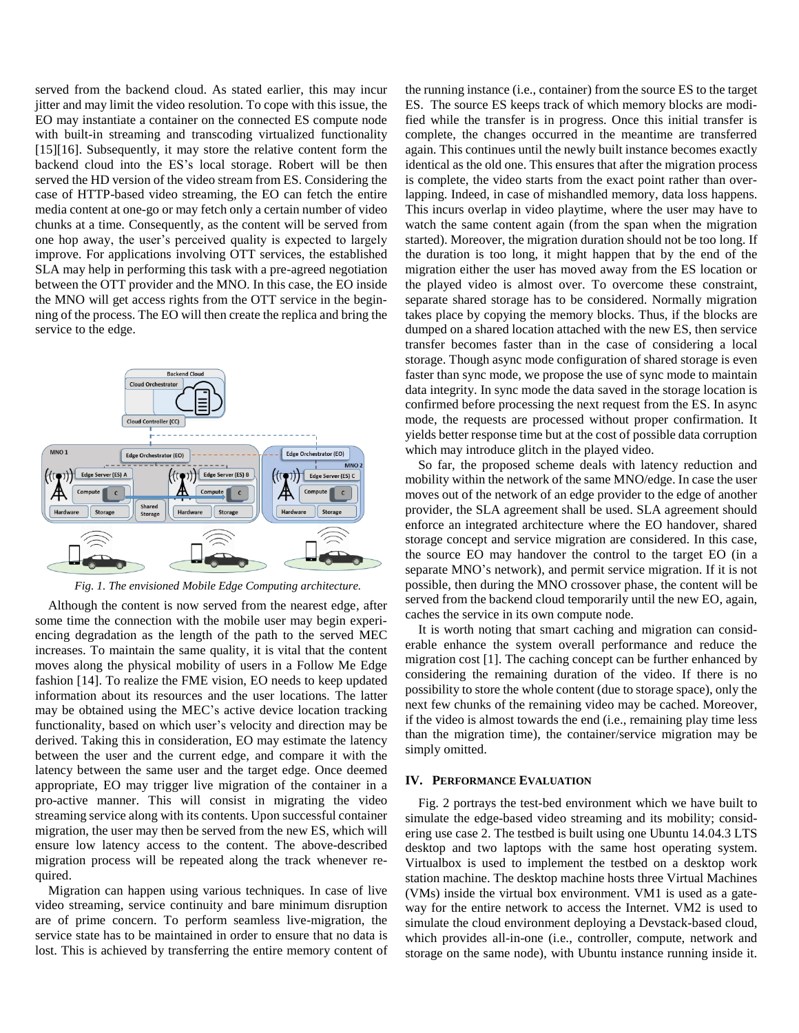served from the backend cloud. As stated earlier, this may incur jitter and may limit the video resolution. To cope with this issue, the EO may instantiate a container on the connected ES compute node with built-in streaming and transcoding virtualized functionality [15][16]. Subsequently, it may store the relative content form the backend cloud into the ES's local storage. Robert will be then served the HD version of the video stream from ES. Considering the case of HTTP-based video streaming, the EO can fetch the entire media content at one-go or may fetch only a certain number of video chunks at a time. Consequently, as the content will be served from one hop away, the user's perceived quality is expected to largely improve. For applications involving OTT services, the established SLA may help in performing this task with a pre-agreed negotiation between the OTT provider and the MNO. In this case, the EO inside the MNO will get access rights from the OTT service in the beginning of the process. The EO will then create the replica and bring the service to the edge.



*Fig. 1. The envisioned Mobile Edge Computing architecture.*

Although the content is now served from the nearest edge, after some time the connection with the mobile user may begin experiencing degradation as the length of the path to the served MEC increases. To maintain the same quality, it is vital that the content moves along the physical mobility of users in a Follow Me Edge fashion [14]. To realize the FME vision, EO needs to keep updated information about its resources and the user locations. The latter may be obtained using the MEC's active device location tracking functionality, based on which user's velocity and direction may be derived. Taking this in consideration, EO may estimate the latency between the user and the current edge, and compare it with the latency between the same user and the target edge. Once deemed appropriate, EO may trigger live migration of the container in a pro-active manner. This will consist in migrating the video streaming service along with its contents. Upon successful container migration, the user may then be served from the new ES, which will ensure low latency access to the content. The above-described migration process will be repeated along the track whenever required.

Migration can happen using various techniques. In case of live video streaming, service continuity and bare minimum disruption are of prime concern. To perform seamless live-migration, the service state has to be maintained in order to ensure that no data is lost. This is achieved by transferring the entire memory content of the running instance (i.e., container) from the source ES to the target ES. The source ES keeps track of which memory blocks are modified while the transfer is in progress. Once this initial transfer is complete, the changes occurred in the meantime are transferred again. This continues until the newly built instance becomes exactly identical as the old one. This ensures that after the migration process is complete, the video starts from the exact point rather than overlapping. Indeed, in case of mishandled memory, data loss happens. This incurs overlap in video playtime, where the user may have to watch the same content again (from the span when the migration started). Moreover, the migration duration should not be too long. If the duration is too long, it might happen that by the end of the migration either the user has moved away from the ES location or the played video is almost over. To overcome these constraint, separate shared storage has to be considered. Normally migration takes place by copying the memory blocks. Thus, if the blocks are dumped on a shared location attached with the new ES, then service transfer becomes faster than in the case of considering a local storage. Though async mode configuration of shared storage is even faster than sync mode, we propose the use of sync mode to maintain data integrity. In sync mode the data saved in the storage location is confirmed before processing the next request from the ES. In async mode, the requests are processed without proper confirmation. It yields better response time but at the cost of possible data corruption which may introduce glitch in the played video.

So far, the proposed scheme deals with latency reduction and mobility within the network of the same MNO/edge. In case the user moves out of the network of an edge provider to the edge of another provider, the SLA agreement shall be used. SLA agreement should enforce an integrated architecture where the EO handover, shared storage concept and service migration are considered. In this case, the source EO may handover the control to the target EO (in a separate MNO's network), and permit service migration. If it is not possible, then during the MNO crossover phase, the content will be served from the backend cloud temporarily until the new EO, again, caches the service in its own compute node.

It is worth noting that smart caching and migration can considerable enhance the system overall performance and reduce the migration cost [1]. The caching concept can be further enhanced by considering the remaining duration of the video. If there is no possibility to store the whole content (due to storage space), only the next few chunks of the remaining video may be cached. Moreover, if the video is almost towards the end (i.e., remaining play time less than the migration time), the container/service migration may be simply omitted.

## **IV. PERFORMANCE EVALUATION**

Fig. 2 portrays the test-bed environment which we have built to simulate the edge-based video streaming and its mobility; considering use case 2. The testbed is built using one Ubuntu 14.04.3 LTS desktop and two laptops with the same host operating system. Virtualbox is used to implement the testbed on a desktop work station machine. The desktop machine hosts three Virtual Machines (VMs) inside the virtual box environment. VM1 is used as a gateway for the entire network to access the Internet. VM2 is used to simulate the cloud environment deploying a Devstack-based cloud, which provides all-in-one (i.e., controller, compute, network and storage on the same node), with Ubuntu instance running inside it.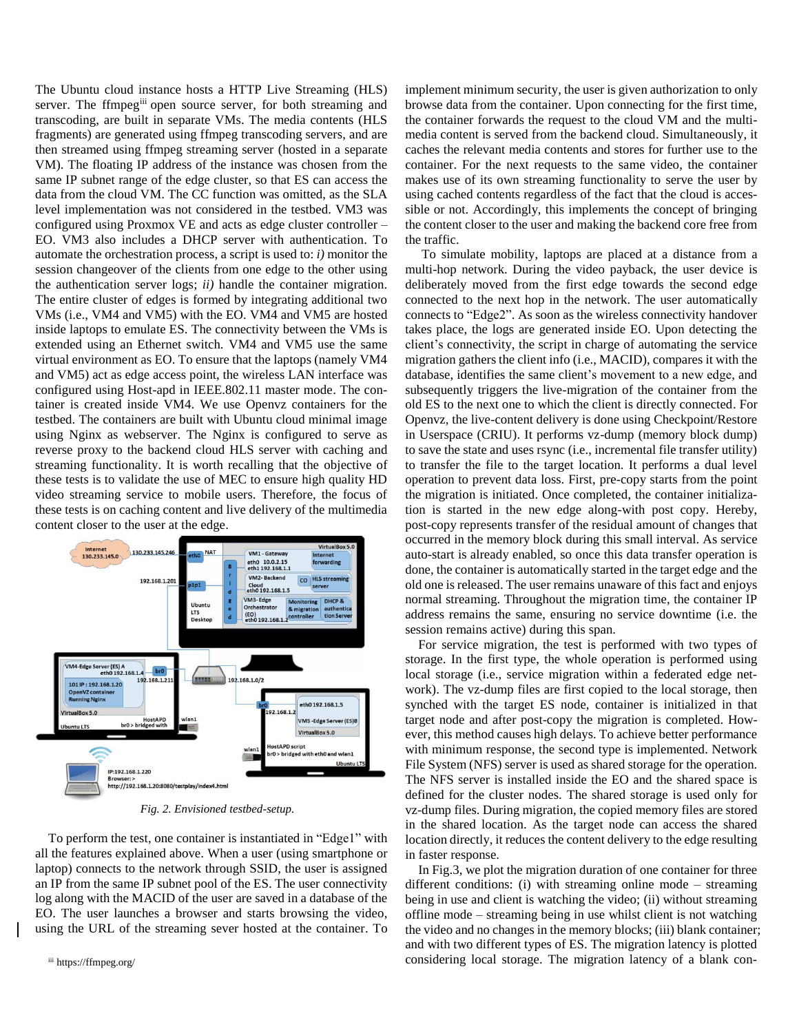The Ubuntu cloud instance hosts a HTTP Live Streaming (HLS) server. The ffmpeg<sup>iii</sup> open source server, for both streaming and transcoding, are built in separate VMs. The media contents (HLS fragments) are generated using ffmpeg transcoding servers, and are then streamed using ffmpeg streaming server (hosted in a separate VM). The floating IP address of the instance was chosen from the same IP subnet range of the edge cluster, so that ES can access the data from the cloud VM. The CC function was omitted, as the SLA level implementation was not considered in the testbed. VM3 was configured using Proxmox VE and acts as edge cluster controller – EO. VM3 also includes a DHCP server with authentication. To automate the orchestration process, a script is used to: *i)* monitor the session changeover of the clients from one edge to the other using the authentication server logs; *ii)* handle the container migration. The entire cluster of edges is formed by integrating additional two VMs (i.e., VM4 and VM5) with the EO. VM4 and VM5 are hosted inside laptops to emulate ES. The connectivity between the VMs is extended using an Ethernet switch. VM4 and VM5 use the same virtual environment as EO. To ensure that the laptops (namely VM4 and VM5) act as edge access point, the wireless LAN interface was configured using Host-apd in IEEE.802.11 master mode. The container is created inside VM4. We use Openvz containers for the testbed. The containers are built with Ubuntu cloud minimal image using Nginx as webserver. The Nginx is configured to serve as reverse proxy to the backend cloud HLS server with caching and streaming functionality. It is worth recalling that the objective of these tests is to validate the use of MEC to ensure high quality HD video streaming service to mobile users. Therefore, the focus of these tests is on caching content and live delivery of the multimedia content closer to the user at the edge.



*Fig. 2. Envisioned testbed-setup.*

To perform the test, one container is instantiated in "Edge1" with all the features explained above. When a user (using smartphone or laptop) connects to the network through SSID, the user is assigned an IP from the same IP subnet pool of the ES. The user connectivity log along with the MACID of the user are saved in a database of the EO. The user launches a browser and starts browsing the video, using the URL of the streaming sever hosted at the container. To implement minimum security, the user is given authorization to only browse data from the container. Upon connecting for the first time, the container forwards the request to the cloud VM and the multimedia content is served from the backend cloud. Simultaneously, it caches the relevant media contents and stores for further use to the container. For the next requests to the same video, the container makes use of its own streaming functionality to serve the user by using cached contents regardless of the fact that the cloud is accessible or not. Accordingly, this implements the concept of bringing the content closer to the user and making the backend core free from the traffic.

To simulate mobility, laptops are placed at a distance from a multi-hop network. During the video payback, the user device is deliberately moved from the first edge towards the second edge connected to the next hop in the network. The user automatically connects to "Edge2". As soon as the wireless connectivity handover takes place, the logs are generated inside EO. Upon detecting the client's connectivity, the script in charge of automating the service migration gathers the client info (i.e., MACID), compares it with the database, identifies the same client's movement to a new edge, and subsequently triggers the live-migration of the container from the old ES to the next one to which the client is directly connected. For Openvz, the live-content delivery is done using Checkpoint/Restore in Userspace (CRIU). It performs vz-dump (memory block dump) to save the state and uses rsync (i.e., incremental file transfer utility) to transfer the file to the target location. It performs a dual level operation to prevent data loss. First, pre-copy starts from the point the migration is initiated. Once completed, the container initialization is started in the new edge along-with post copy. Hereby, post-copy represents transfer of the residual amount of changes that occurred in the memory block during this small interval. As service auto-start is already enabled, so once this data transfer operation is done, the container is automatically started in the target edge and the old one is released. The user remains unaware of this fact and enjoys normal streaming. Throughout the migration time, the container IP address remains the same, ensuring no service downtime (i.e. the session remains active) during this span.

For service migration, the test is performed with two types of storage. In the first type, the whole operation is performed using local storage (i.e., service migration within a federated edge network). The vz-dump files are first copied to the local storage, then synched with the target ES node, container is initialized in that target node and after post-copy the migration is completed. However, this method causes high delays. To achieve better performance with minimum response, the second type is implemented. Network File System (NFS) server is used as shared storage for the operation. The NFS server is installed inside the EO and the shared space is defined for the cluster nodes. The shared storage is used only for vz-dump files. During migration, the copied memory files are stored in the shared location. As the target node can access the shared location directly, it reduces the content delivery to the edge resulting in faster response.

In Fig.3, we plot the migration duration of one container for three different conditions: (i) with streaming online mode – streaming being in use and client is watching the video; (ii) without streaming offline mode – streaming being in use whilst client is not watching the video and no changes in the memory blocks; (iii) blank container; and with two different types of ES. The migration latency is plotted considering local storage. The migration latency of a blank con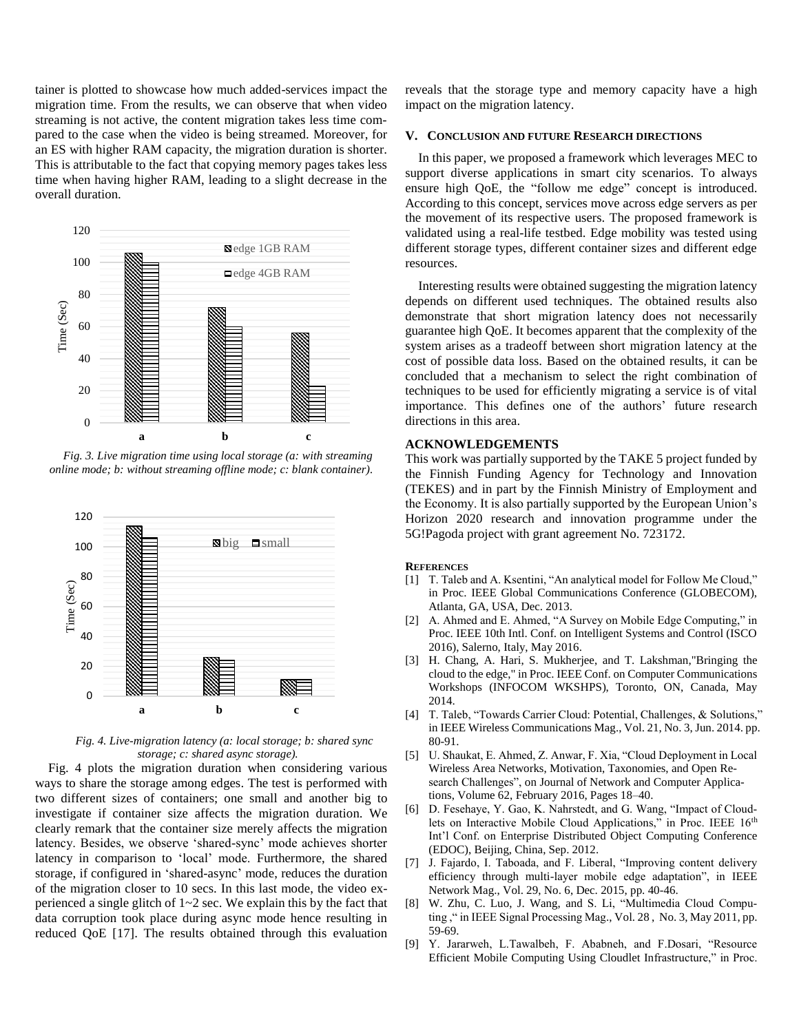tainer is plotted to showcase how much added-services impact the migration time. From the results, we can observe that when video streaming is not active, the content migration takes less time compared to the case when the video is being streamed. Moreover, for an ES with higher RAM capacity, the migration duration is shorter. This is attributable to the fact that copying memory pages takes less time when having higher RAM, leading to a slight decrease in the overall duration.



*Fig. 3. Live migration time using local storage (a: with streaming online mode; b: without streaming offline mode; c: blank container).*



*Fig. 4. Live-migration latency (a: local storage; b: shared sync storage; c: shared async storage).*

Fig. 4 plots the migration duration when considering various ways to share the storage among edges. The test is performed with two different sizes of containers; one small and another big to investigate if container size affects the migration duration. We clearly remark that the container size merely affects the migration latency. Besides, we observe 'shared-sync' mode achieves shorter latency in comparison to 'local' mode. Furthermore, the shared storage, if configured in 'shared-async' mode, reduces the duration of the migration closer to 10 secs. In this last mode, the video experienced a single glitch of 1~2 sec. We explain this by the fact that data corruption took place during async mode hence resulting in reduced QoE [17]. The results obtained through this evaluation

reveals that the storage type and memory capacity have a high impact on the migration latency.

# **V. CONCLUSION AND FUTURE RESEARCH DIRECTIONS**

In this paper, we proposed a framework which leverages MEC to support diverse applications in smart city scenarios. To always ensure high QoE, the "follow me edge" concept is introduced. According to this concept, services move across edge servers as per the movement of its respective users. The proposed framework is validated using a real-life testbed. Edge mobility was tested using different storage types, different container sizes and different edge resources.

Interesting results were obtained suggesting the migration latency depends on different used techniques. The obtained results also demonstrate that short migration latency does not necessarily guarantee high QoE. It becomes apparent that the complexity of the system arises as a tradeoff between short migration latency at the cost of possible data loss. Based on the obtained results, it can be concluded that a mechanism to select the right combination of techniques to be used for efficiently migrating a service is of vital importance. This defines one of the authors' future research directions in this area.

## **ACKNOWLEDGEMENTS**

This work was partially supported by the TAKE 5 project funded by the Finnish Funding Agency for Technology and Innovation (TEKES) and in part by the Finnish Ministry of Employment and the Economy. It is also partially supported by the European Union's Horizon 2020 research and innovation programme under the 5G!Pagoda project with grant agreement No. 723172.

#### **REFERENCES**

- [1] T. Taleb and A. Ksentini, "An analytical model for Follow Me Cloud," in Proc. IEEE Global Communications Conference (GLOBECOM), Atlanta, GA, USA, Dec. 2013.
- [2] A. Ahmed and E. Ahmed, "A Survey on Mobile Edge Computing," in Proc. IEEE 10th Intl. Conf. on Intelligent Systems and Control (ISCO 2016), Salerno, Italy, May 2016.
- [3] H. Chang, A. Hari, S. Mukherjee, and T. Lakshman,"Bringing the cloud to the edge," in Proc. IEEE Conf. on Computer Communications Workshops (INFOCOM WKSHPS), Toronto, ON, Canada, May 2014.
- [4] T. Taleb, "Towards Carrier Cloud: Potential, Challenges, & Solutions," in IEEE Wireless Communications Mag., Vol. 21, No. 3, Jun. 2014. pp. 80-91.
- [5] U. Shaukat, E. Ahmed, Z. Anwar, F. Xia, "Cloud Deployment in Local Wireless Area Networks, Motivation, Taxonomies, and Open Research Challenges", on Journal of Network and Computer Applications, Volume 62, February 2016, Pages 18–40.
- [6] D. Fesehaye, Y. Gao, K. Nahrstedt, and G. Wang, "Impact of Cloudlets on Interactive Mobile Cloud Applications," in Proc. IEEE 16<sup>th</sup> Int'l Conf. on Enterprise Distributed Object Computing Conference (EDOC), Beijing, China, Sep. 2012.
- [7] J. Fajardo, I. Taboada, and F. Liberal, "Improving content delivery efficiency through multi-layer mobile edge adaptation", in IEEE Network Mag., Vol. 29, No. 6, Dec. 2015, pp. 40-46.
- [8] W. Zhu, C. Luo, J. Wang, and S. Li, "Multimedia Cloud Computing ," in IEEE Signal Processing Mag., Vol. 28, No. 3, May 2011, pp. 59-69.
- [9] Y. Jararweh, L.Tawalbeh, F. Ababneh, and F.Dosari, "Resource Efficient Mobile Computing Using Cloudlet Infrastructure," in Proc.